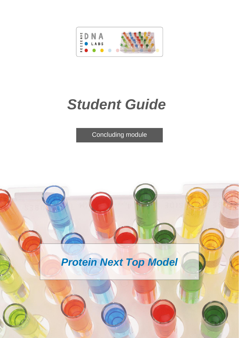

# *Student Guide*

Concluding module

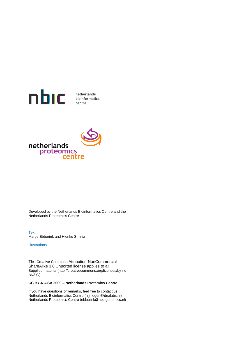



Developed by the Netherlands Bioinformatics Centre and the Netherlands Proteomics Centre

Text Martje Ebberink and Hienke Sminia

#### **Illustrations**

………….

The Creative Commons Attribution-NonCommercial-ShareAlike 3.0 Unported license applies to all Supplied material (http://creativecommons.org/licenses/by-ncsa/3.0/).

#### **CC BY-NC-SA 2009 – Netherlands Protemics Centre**

If you have questions or remarks, feel free to contact us. Netherlands Bioinformatics Centre (nijmegen@dnalabs.nl) Netherlands Proteomics Centre (ebberink@npc.genomics.nl)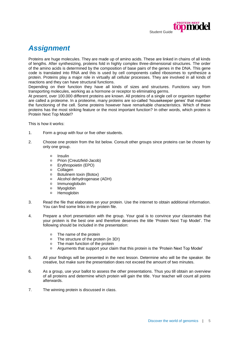

## *Assignment*

Proteins are huge molecules. They are made up of amino acids. These are linked in chains of all kinds of lengths. After synthesizing, proteins fold in highly complex three-dimensional structures. The order of the amino acids is determined by the composition of base pairs of the genes in the DNA. This gene code is translated into RNA and this is used by cell components called ribosomes to synthesize a protein. Proteins play a major role in virtually all cellular processes. They are involved in all kinds of reactions and they can have structural functions.

Depending on their function they have all kinds of sizes and structures. Functions vary from transporting molecules, working as a hormone or receptor to eliminating germs.

At present, over 100.000 different proteins are known. All proteins of a single cell or organism together are called a proteome. In a proteome, many proteins are so-called 'housekeeper genes' that maintain the functioning of the cell. Some proteins however have remarkable characteristics. Which of these proteins has the most striking feature or the most important function? In other words, which protein is Protein Next Top Model?

This is how it works:

- 1. Form a group with four or five other students.
- 2. Choose one protein from the list below. Consult other groups since proteins can be chosen by only one group.
	- $\Box$ Insulin
	- $\Box$ Prion (Creutzfeld-Jacob)
	- Erythropoietin (EPO)  $\Box$
	- $\Box$ **Collagen**
	- $\Box$ Botulinem toxin (Botox)
	- $\Box$ Alcohol dehydrogenase (ADH)
	- $\blacksquare$ Immunoglobulin
	- Myoglobin  $\Box$
	- $\Box$ Hemoglobin
- 3. Read the file that elaborates on your protein. Use the internet to obtain additional information. You can find some links in the protein file.
- 4. Prepare a short presentation with the group. Your goal is to convince your classmates that your protein is the best one and therefore deserves the title 'Protein Next Top Model'. The following should be included in the presentation:
	- $\Box$ The name of the protein
	- The structure of the protein (in 3D!)  $\Box$
	- $\Box$ The main function of the protein
	- $\Box$ Arguments that support your claim that this protein is the 'Protein Next Top Model'
- 5. All your findings will be presented in the next lesson. Determine who will be the speaker. Be creative, but make sure the presentation does not exceed the amount of two minutes.
- 6. As a group, use your ballot to assess the other presentations. Thus you till obtain an overview of all proteins and determine which protein will gain the title. Your teacher will count all points afterwards.
- 7. The winning protein is discussed in class.